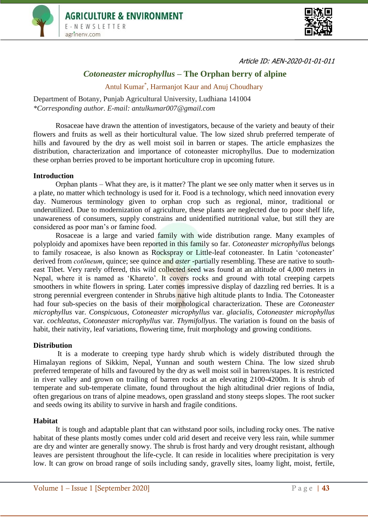



Article ID: AEN-2020-01-01-011

# *Cotoneaster microphyllus* **– The Orphan berry of alpine**

Antul Kumar\* , Harmanjot Kaur and Anuj Choudhary

Department of Botany, Punjab Agricultural University, Ludhiana 141004 *\*Corresponding author. E-mail: antulkumar007@gmail.com*

Rosaceae have drawn the attention of investigators, because of the variety and beauty of their flowers and fruits as well as their horticultural value. The low sized shrub preferred temperate of hills and favoured by the dry as well moist soil in barren or stapes. The article emphasizes the distribution, characterization and importance of cotoneaster microphyllus. Due to modernization these orphan berries proved to be important horticulture crop in upcoming future.

## **Introduction**

Orphan plants – What they are, is it matter? The plant we see only matter when it serves us in a plate, no matter which technology is used for it. Food is a technology, which need innovation every day. Numerous terminology given to orphan crop such as regional, minor, traditional or underutilized. Due to modernization of agriculture, these plants are neglected due to poor shelf life, unawareness of consumers, supply constrains and unidentified nutritional value, but still they are considered as poor man's or famine food.

Rosaceae is a large and varied family with wide distribution range. Many examples of polyploidy and apomixes have been reported in this family so far. *Cotoneaster microphyllus* belongs to family rosaceae, is also known as Rockspray or Little-leaf cotoneaster. In Latin 'cotoneaster' derived from *cotoneum*, quince; see quince and *aster* -partially resembling. These are native to southeast Tibet. Very rarely offered, this wild collected seed was found at an altitude of 4,000 meters in Nepal, where it is named as 'Khareto'. It covers rocks and ground with total creeping carpets smoothers in white flowers in spring. Later comes impressive display of dazzling red berries. It is a strong perennial evergreen contender in Shrubs native high altitude plants to India. The Cotoneaster had four sub-species on the basis of their morphological characterization. These are *Cotoneaster microphyllus* var. *Conspicuous*, *Cotoneaster microphyllus* var. *glacialis*, *Cotoneaster microphyllus*  var. *cochleatus*, *Cotoneaster microphyllus* var. *Thymifollyus*. The variation is found on the basis of habit, their nativity, leaf variations, flowering time, fruit morphology and growing conditions.

## **Distribution**

It is a moderate to creeping type hardy shrub which is widely distributed through the Himalayan regions of Sikkim, Nepal, Yunnan and south western China. The low sized shrub preferred temperate of hills and favoured by the dry as well moist soil in barren/stapes. It is restricted in river valley and grown on trailing of barren rocks at an elevating 2100-4200m. It is shrub of temperate and sub-temperate climate, found throughout the high altitudinal drier regions of India, often gregarious on trans of alpine meadows, open grassland and stony steeps slopes. The root sucker and seeds owing its ability to survive in harsh and fragile conditions.

#### **Habitat**

It is tough and adaptable plant that can withstand poor soils, including rocky ones. The native habitat of these plants mostly comes under cold arid desert and receive very less rain, while summer are dry and winter are generally snowy. The shrub is frost hardy and very drought resistant, although leaves are persistent throughout the life-cycle. It can reside in localities where precipitation is very low. It can grow on broad range of soils including sandy, gravelly sites, loamy light, moist, fertile,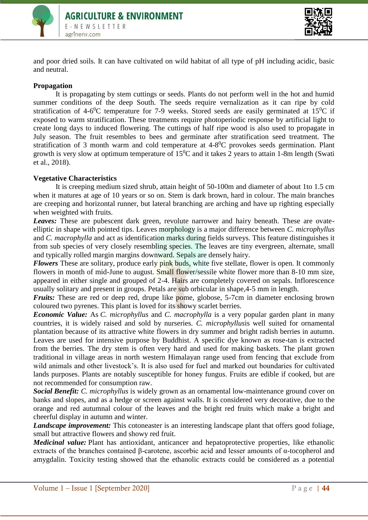



and poor dried soils. It can have cultivated on wild habitat of all type of pH including acidic, basic and neutral.

## **Propagation**

It is propagating by stem cuttings or seeds. Plants do not perform well in the hot and humid summer conditions of the deep South. The seeds require vernalization as it can ripe by cold stratification of 4-6<sup>0</sup>C temperature for 7-9 weeks. Stored seeds are easily germinated at 15<sup>0</sup>C if exposed to warm stratification. These treatments require photoperiodic response by artificial light to create long days to induced flowering. The cuttings of half ripe wood is also used to propagate in July season. The fruit resembles to bees and germinate after stratification seed treatment. The stratification of 3 month warm and cold temperature at  $4-8^{\circ}$ C provokes seeds germination. Plant growth is very slow at optimum temperature of  $15^{0}$ C and it takes 2 years to attain 1-8m length (Swati et al., 2018).

## **Vegetative Characteristics**

It is creeping medium sized shrub, attain height of 50-100m and diameter of about 1to 1.5 cm when it matures at age of 10 years or so on. Stem is dark brown, hard in colour. The main branches are creeping and horizontal runner, but lateral branching are arching and have up righting especially when weighted with fruits.

**Leaves:** These are pubescent dark green, revolute narrower and hairy beneath. These are ovateelliptic in shape with pointed tips. Leaves morphology is a major difference between *C. microphyllus*  and *C. macrophylla* and act as identification marks during fields surveys. This feature distinguishes it from sub species of very closely resembling species. The leaves are tiny evergreen, alternate, small and typically rolled margin margins downward. Sepals are densely hairy.

*Flowers* These are solitary, produce early **pink** buds, white five stellate, flower is open. It commonly flowers in month of mid-June to august. Small flower/sessile white flower more than 8-10 mm size, appeared in either single and grouped of 2-4. Hairs are completely covered on sepals. Inflorescence usually solitary and present in groups. Petals are sub orbicular in shape,4-5 mm in length.

*Fruits:* These are red or deep red, drupe like pome, globose, 5-7cm in diameter enclosing brown coloured two pyrenes. This plant is loved for its showy scarlet berries.

*Economic Value:* As *C. microphyllus* and *C. macrophylla* is a very popular garden plant in many countries, it is widely raised and sold by nurseries. *C. microphyllus*is well suited for ornamental plantation because of its attractive white flowers in dry summer and bright radish berries in autumn. Leaves are used for intensive purpose by Buddhist. A specific dye known as rose-tan is extracted from the berries. The dry stem is often very hard and used for making baskets. The plant grown traditional in village areas in north western Himalayan range used from fencing that exclude from wild animals and other livestock's. It is also used for fuel and marked out boundaries for cultivated lands purposes. Plants are notably susceptible for honey fungus. Fruits are edible if cooked, but are not recommended for consumption raw.

*Social Benefit: C. microphyllus* is widely grown as an ornamental low-maintenance ground cover on banks and slopes, and as a hedge or screen against walls. It is considered very decorative, due to the orange and red autumnal colour of the leaves and the bright red fruits which make a bright and cheerful display in autumn and winter.

*Landscape improvement:* This cotoneaster is an interesting landscape plant that offers good foliage, small but attractive flowers and showy red fruit.

*Medicinal value:* Plant has antioxidant, anticancer and hepatoprotective properties, like ethanolic extracts of the branches contained β-carotene, ascorbic acid and lesser amounts of α-tocopherol and amygdalin. Toxicity testing showed that the ethanolic extracts could be considered as a potential